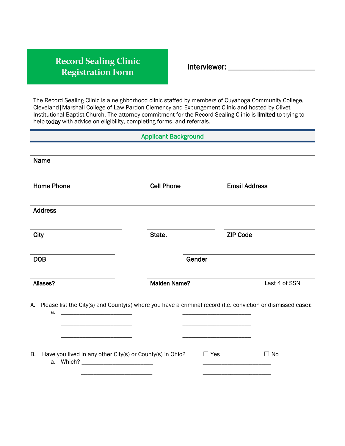## **Record Sealing Clinic Registration Form**

Interviewer: \_\_\_\_\_\_\_\_\_\_\_\_\_\_\_\_\_\_\_\_\_\_

The Record Sealing Clinic is a neighborhood clinic staffed by members of Cuyahoga Community College, Cleveland|Marshall College of Law Pardon Clemency and Expungement Clinic and hosted by Olivet Institutional Baptist Church. The attorney commitment for the Record Sealing Clinic is limited to trying to help today with advice on eligibility, completing forms, and referrals.

| <b>Applicant Background</b>                                                                                          |                     |                      |               |
|----------------------------------------------------------------------------------------------------------------------|---------------------|----------------------|---------------|
|                                                                                                                      |                     |                      |               |
| Name                                                                                                                 |                     |                      |               |
|                                                                                                                      |                     |                      |               |
| <b>Home Phone</b>                                                                                                    | <b>Cell Phone</b>   | <b>Email Address</b> |               |
|                                                                                                                      |                     |                      |               |
| <b>Address</b>                                                                                                       |                     |                      |               |
|                                                                                                                      | State.              | <b>ZIP Code</b>      |               |
| <b>City</b>                                                                                                          |                     |                      |               |
| <b>DOB</b>                                                                                                           | Gender              |                      |               |
|                                                                                                                      |                     |                      |               |
| Aliases?                                                                                                             | <b>Maiden Name?</b> |                      | Last 4 of SSN |
|                                                                                                                      |                     |                      |               |
| A. Please list the City(s) and County(s) where you have a criminal record (I.e. conviction or dismissed case):<br>a. |                     |                      |               |
|                                                                                                                      |                     |                      |               |
|                                                                                                                      |                     |                      |               |
| В.<br>Have you lived in any other City(s) or County(s) in Ohio?                                                      |                     | $\Box$ Yes           | $\Box$ No     |
|                                                                                                                      |                     |                      |               |
|                                                                                                                      |                     |                      |               |